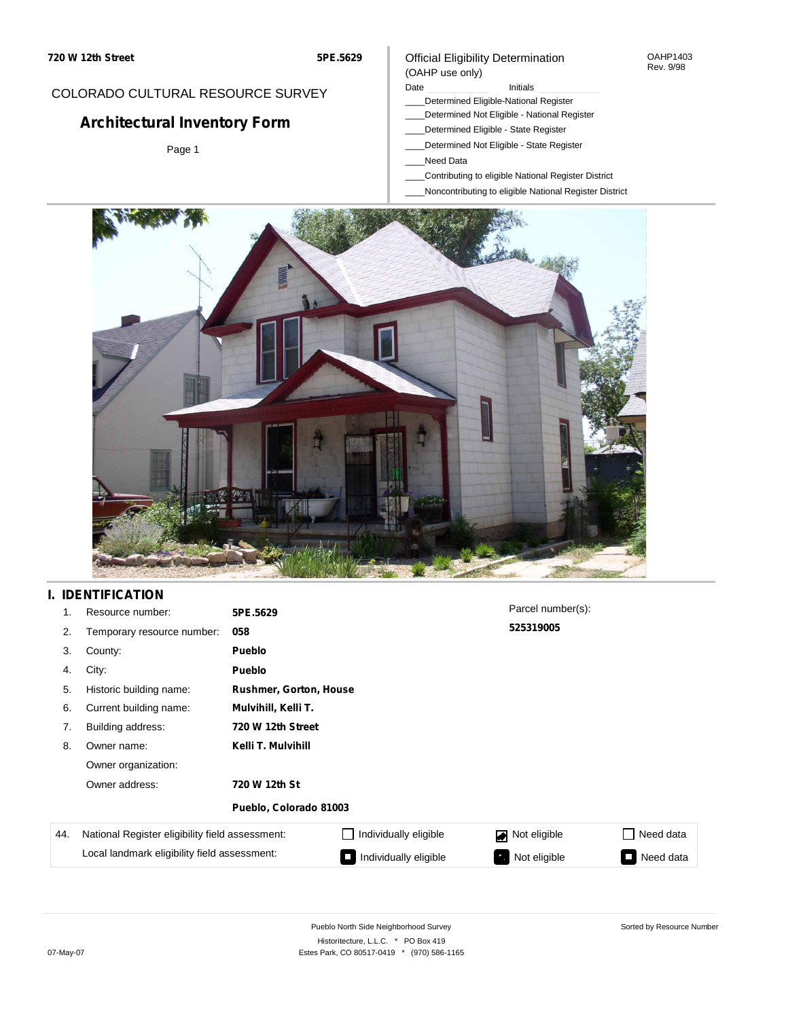#### OAHP1403 Rev. 9/98

### COLORADO CULTURAL RESOURCE SURVEY

# **Architectural Inventory Form**

Page 1

# (OAHP use only)

Official Eligibility Determination

Date **Initials** Initials

- \_\_\_\_Determined Eligible-National Register
- \_\_\_\_Determined Not Eligible National Register \_\_\_\_Determined Eligible - State Register
- \_\_\_\_Determined Not Eligible State Register
- \_\_\_\_Need Data
- \_\_\_\_Contributing to eligible National Register District
- \_\_\_\_Noncontributing to eligible National Register District



### **I. IDENTIFICATION**

| 1.  | Resource number:                                | 5PE.5629               |                        | Parcel number(s):         |           |  |  |  |
|-----|-------------------------------------------------|------------------------|------------------------|---------------------------|-----------|--|--|--|
| 2.  | Temporary resource number:                      | 058                    |                        | 525319005                 |           |  |  |  |
| 3.  | County:                                         | <b>Pueblo</b>          |                        |                           |           |  |  |  |
| 4.  | City:                                           | <b>Pueblo</b>          |                        |                           |           |  |  |  |
| 5.  | Historic building name:                         |                        | Rushmer, Gorton, House |                           |           |  |  |  |
| 6.  | Current building name:                          | Mulvihill, Kelli T.    |                        |                           |           |  |  |  |
| 7.  | Building address:                               | 720 W 12th Street      |                        |                           |           |  |  |  |
| 8.  | Owner name:                                     | Kelli T. Mulvihill     |                        |                           |           |  |  |  |
|     | Owner organization:                             |                        |                        |                           |           |  |  |  |
|     | Owner address:                                  | 720 W 12th St          |                        |                           |           |  |  |  |
|     |                                                 | Pueblo, Colorado 81003 |                        |                           |           |  |  |  |
| 44. | National Register eligibility field assessment: |                        | Individually eligible  | Not eligible              | Need data |  |  |  |
|     | Local landmark eligibility field assessment:    |                        | Individually eligible  | Not eligible<br>$\bullet$ | Need data |  |  |  |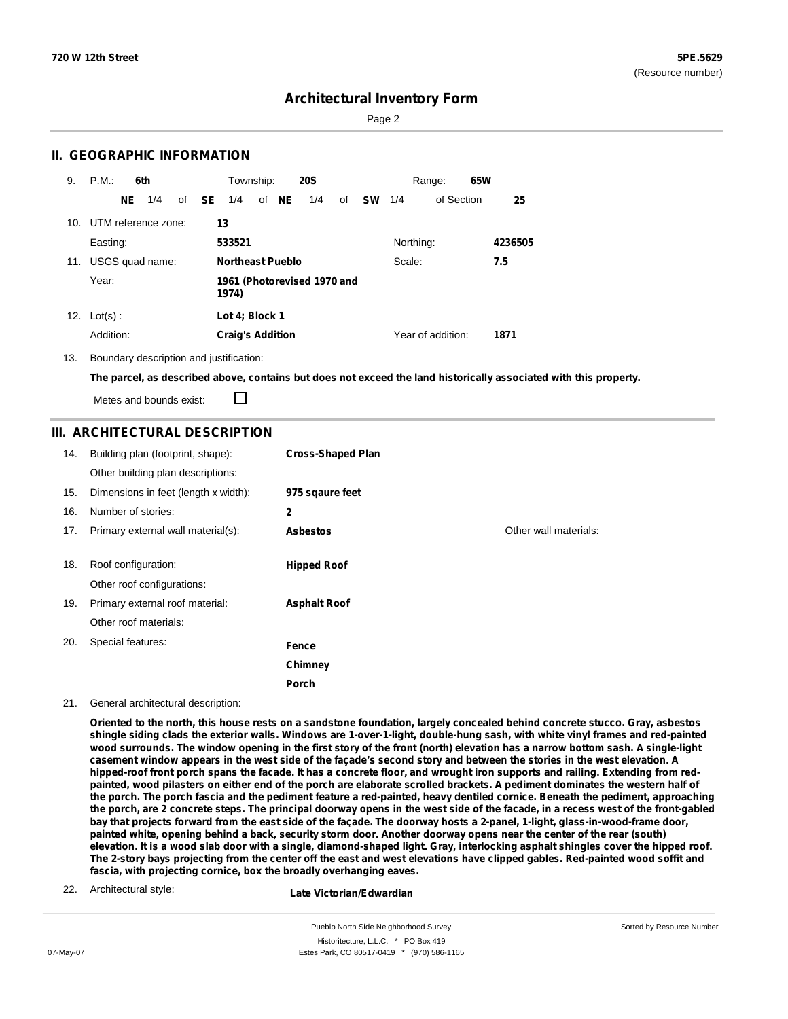Page 2

### **II. GEOGRAPHIC INFORMATION**

| 9.  | P.M.                    |           | 6th             |              | Township:                            |  |       | <b>20S</b> |     |           |           | Range:            | 65W |         |
|-----|-------------------------|-----------|-----------------|--------------|--------------------------------------|--|-------|------------|-----|-----------|-----------|-------------------|-----|---------|
|     |                         | <b>NE</b> | 1/4             | of <b>SE</b> | 1/4                                  |  | of NE | 1/4        | of  | <b>SW</b> | 1/4       | of Section        |     | 25      |
|     | 10. UTM reference zone: |           |                 |              | 13                                   |  |       |            |     |           |           |                   |     |         |
|     | Easting:                |           |                 |              | 533521                               |  |       |            |     |           | Northing: |                   |     | 4236505 |
| 11. |                         |           | USGS quad name: |              | <b>Northeast Pueblo</b><br>Scale:    |  |       |            | 7.5 |           |           |                   |     |         |
|     | Year:                   |           |                 |              | 1961 (Photorevised 1970 and<br>1974) |  |       |            |     |           |           |                   |     |         |
| 12. | $Lot(s)$ :              |           |                 |              | Lot 4; Block 1                       |  |       |            |     |           |           |                   |     |         |
|     | Addition:               |           |                 |              | <b>Craig's Addition</b>              |  |       |            |     |           |           | Year of addition: |     | 1871    |

13. Boundary description and justification:

The parcel, as described above, contains but does not exceed the land historically associated with this property.

П Metes and bounds exist:

### **III. ARCHITECTURAL DESCRIPTION**

| 14. | Building plan (footprint, shape):<br>Other building plan descriptions: | <b>Cross-Shaped Plan</b> |                       |
|-----|------------------------------------------------------------------------|--------------------------|-----------------------|
| 15. | Dimensions in feet (length x width):                                   | 975 sqaure feet          |                       |
| 16. | Number of stories:                                                     | 2                        |                       |
| 17. | Primary external wall material(s):                                     | <b>Asbestos</b>          | Other wall materials: |
|     |                                                                        |                          |                       |
| 18. | Roof configuration:                                                    | <b>Hipped Roof</b>       |                       |
|     | Other roof configurations:                                             |                          |                       |
| 19. | Primary external roof material:                                        | <b>Asphalt Roof</b>      |                       |
|     | Other roof materials:                                                  |                          |                       |
| 20. | Special features:                                                      | Fence                    |                       |
|     |                                                                        | Chimney                  |                       |
|     |                                                                        | Porch                    |                       |

#### 21. General architectural description:

Oriented to the north, this house rests on a sandstone foundation, largely concealed behind concrete stucco. Gray, asbestos shingle siding clads the exterior walls. Windows are 1-over-1-light, double-hung sash, with white vinyl frames and red-painted wood surrounds. The window opening in the first story of the front (north) elevation has a narrow bottom sash. A single-light casement window appears in the west side of the façade's second story and between the stories in the west elevation. A hipped-roof front porch spans the facade. It has a concrete floor, and wrought iron supports and railing. Extending from redpainted, wood pilasters on either end of the porch are elaborate scrolled brackets. A pediment dominates the western half of the porch. The porch fascia and the pediment feature a red-painted, heavy dentiled cornice. Beneath the pediment, approaching the porch, are 2 concrete steps. The principal doorway opens in the west side of the facade, in a recess west of the front-gabled bay that projects forward from the east side of the façade. The doorway hosts a 2-panel, 1-light, glass-in-wood-frame door, painted white, opening behind a back, security storm door. Another doorway opens near the center of the rear (south) elevation. It is a wood slab door with a single, diamond-shaped light. Gray, interlocking asphalt shingles cover the hipped roof. The 2-story bays projecting from the center off the east and west elevations have clipped gables. Red-painted wood soffit and **fascia, with projecting cornice, box the broadly overhanging eaves.**

22. Architectural style:

**Late Victorian/Edwardian**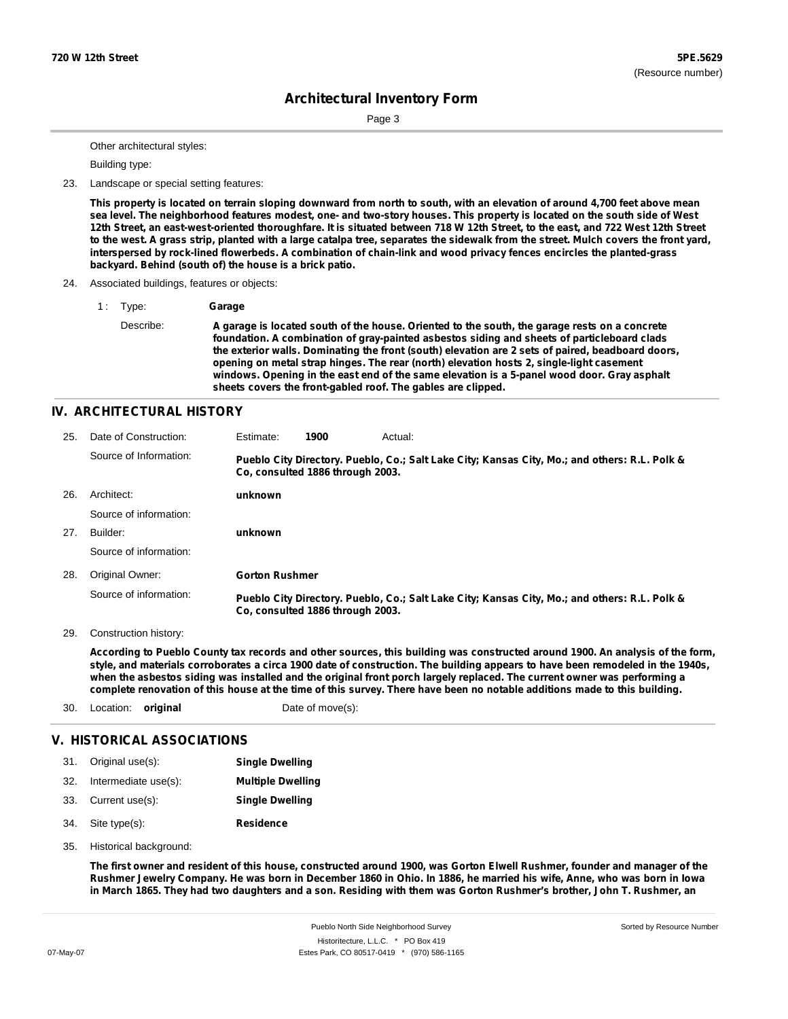Page 3

Other architectural styles:

Building type:

23. Landscape or special setting features:

This property is located on terrain sloping downward from north to south, with an elevation of around 4,700 feet above mean sea level. The neighborhood features modest, one- and two-story houses. This property is located on the south side of West 12th Street, an east-west-oriented thoroughfare. It is situated between 718 W 12th Street, to the east, and 722 West 12th Street to the west. A grass strip, planted with a large catalpa tree, separates the sidewalk from the street. Mulch covers the front yard, **interspersed by rock-lined flowerbeds. A combination of chain-link and wood privacy fences encircles the planted-grass backyard. Behind (south of) the house is a brick patio.**

24. Associated buildings, features or objects:

1 : Type: **Garage**

Describe: A garage is located south of the house. Oriented to the south, the garage rests on a concrete **foundation. A combination of gray-painted asbestos siding and sheets of particleboard clads the exterior walls. Dominating the front (south) elevation are 2 sets of paired, beadboard doors, opening on metal strap hinges. The rear (north) elevation hosts 2, single-light casement windows. Opening in the east end of the same elevation is a 5-panel wood door. Gray asphalt sheets covers the front-gabled roof. The gables are clipped.**

#### **IV. ARCHITECTURAL HISTORY**

| 25. | Date of Construction:  | Estimate:             | 1900                             | Actual:                                                                                       |
|-----|------------------------|-----------------------|----------------------------------|-----------------------------------------------------------------------------------------------|
|     | Source of Information: |                       | Co. consulted 1886 through 2003. | Pueblo City Directory. Pueblo, Co.; Salt Lake City; Kansas City, Mo.; and others: R.L. Polk & |
| 26. | Architect:             | unknown               |                                  |                                                                                               |
|     | Source of information: |                       |                                  |                                                                                               |
| 27. | Builder:               | unknown               |                                  |                                                                                               |
|     | Source of information: |                       |                                  |                                                                                               |
| 28. | Original Owner:        | <b>Gorton Rushmer</b> |                                  |                                                                                               |
|     | Source of information: |                       | Co. consulted 1886 through 2003. | Pueblo City Directory. Pueblo, Co.; Salt Lake City; Kansas City, Mo.; and others: R.L. Polk & |

29. Construction history:

According to Pueblo County tax records and other sources, this building was constructed around 1900. An analysis of the form, style, and materials corroborates a circa 1900 date of construction. The building appears to have been remodeled in the 1940s, when the asbestos siding was installed and the original front porch largely replaced. The current owner was performing a complete renovation of this house at the time of this survey. There have been no notable additions made to this building.

30. Location: **original** Date of move(s):

### **V. HISTORICAL ASSOCIATIONS**

| 31. | Original use(s):     | <b>Single Dwelling</b>   |
|-----|----------------------|--------------------------|
| 32. | Intermediate use(s): | <b>Multiple Dwelling</b> |

- 33. Current use(s): **Single Dwelling**
- **Residence** Site type(s): 34.
- 35. Historical background:

The first owner and resident of this house, constructed around 1900, was Gorton Elwell Rushmer, founder and manager of the Rushmer Jewelry Company. He was born in December 1860 in Ohio. In 1886, he married his wife, Anne, who was born in Iowa in March 1865. They had two daughters and a son. Residing with them was Gorton Rushmer's brother, John T. Rushmer, an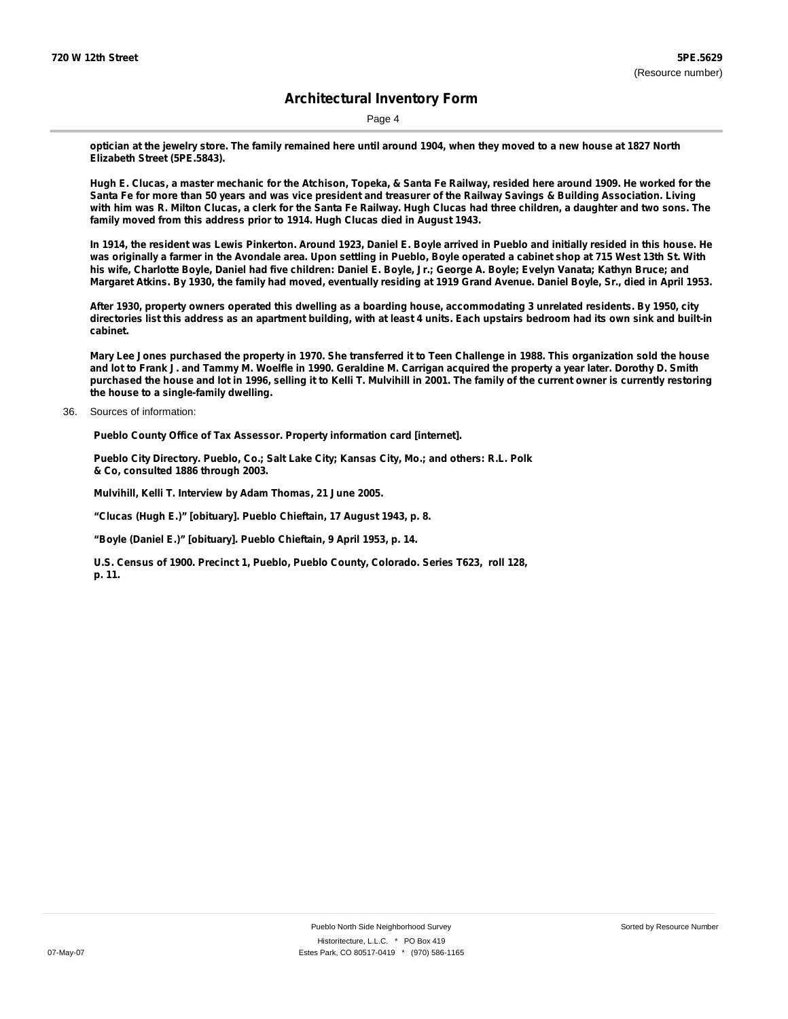Page 4

optician at the jewelry store. The family remained here until around 1904, when they moved to a new house at 1827 North **Elizabeth Street (5PE.5843).**

Hugh E. Clucas, a master mechanic for the Atchison, Topeka, & Santa Fe Railway, resided here around 1909. He worked for the Santa Fe for more than 50 years and was vice president and treasurer of the Railway Savings & Building Association. Living with him was R. Milton Clucas, a clerk for the Santa Fe Railway. Hugh Clucas had three children, a daughter and two sons. The **family moved from this address prior to 1914. Hugh Clucas died in August 1943.**

In 1914, the resident was Lewis Pinkerton. Around 1923, Daniel E. Boyle arrived in Pueblo and initially resided in this house. He was originally a farmer in the Avondale area. Upon settling in Pueblo, Boyle operated a cabinet shop at 715 West 13th St. With his wife, Charlotte Boyle, Daniel had five children: Daniel E. Boyle, Jr.; George A. Boyle; Evelyn Vanata; Kathyn Bruce; and Margaret Atkins. By 1930, the family had moved, eventually residing at 1919 Grand Avenue. Daniel Boyle, Sr., died in April 1953.

After 1930, property owners operated this dwelling as a boarding house, accommodating 3 unrelated residents. By 1950, city directories list this address as an apartment building, with at least 4 units. Each upstairs bedroom had its own sink and built-in **cabinet.**

Mary Lee Jones purchased the property in 1970. She transferred it to Teen Challenge in 1988. This organization sold the house and lot to Frank J. and Tammy M. Woelfle in 1990. Geraldine M. Carrigan acquired the property a year later. Dorothy D. Smith purchased the house and lot in 1996, selling it to Kelli T. Mulvihill in 2001. The family of the current owner is currently restoring **the house to a single-family dwelling.**

36. Sources of information:

**Pueblo County Office of Tax Assessor. Property information card [internet].**

**Pueblo City Directory. Pueblo, Co.; Salt Lake City; Kansas City, Mo.; and others: R.L. Polk & Co, consulted 1886 through 2003.**

**Mulvihill, Kelli T. Interview by Adam Thomas, 21 June 2005.**

**"Clucas (Hugh E.)" [obituary]. Pueblo Chieftain, 17 August 1943, p. 8.**

**"Boyle (Daniel E.)" [obituary]. Pueblo Chieftain, 9 April 1953, p. 14.**

**U.S. Census of 1900. Precinct 1, Pueblo, Pueblo County, Colorado. Series T623, roll 128, p. 11.**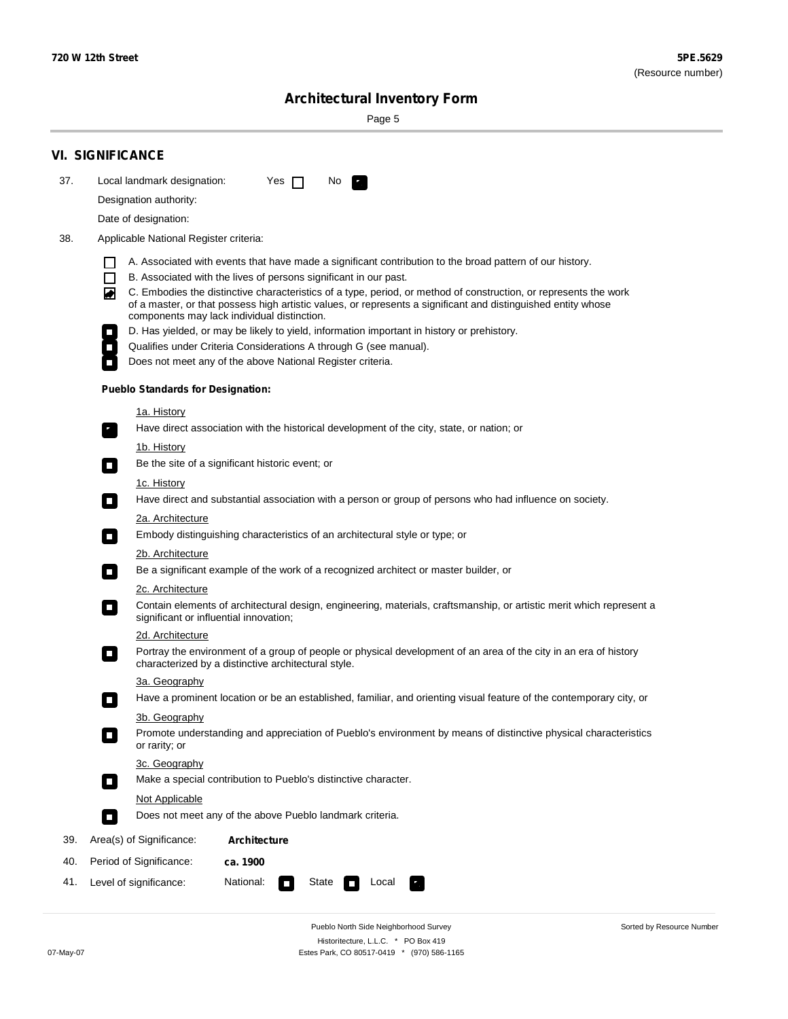÷

Sorted by Resource Number

# **Architectural Inventory Form**

Page 5

|                                                                                                                     | <b>VI. SIGNIFICANCE</b>                                                                                                                                                                                                                                                               |  |  |  |                                                                                                                                                                     |  |  |  |
|---------------------------------------------------------------------------------------------------------------------|---------------------------------------------------------------------------------------------------------------------------------------------------------------------------------------------------------------------------------------------------------------------------------------|--|--|--|---------------------------------------------------------------------------------------------------------------------------------------------------------------------|--|--|--|
| 37.                                                                                                                 | Local landmark designation:<br>Yes $\Box$<br>No.                                                                                                                                                                                                                                      |  |  |  |                                                                                                                                                                     |  |  |  |
|                                                                                                                     | Designation authority:                                                                                                                                                                                                                                                                |  |  |  |                                                                                                                                                                     |  |  |  |
|                                                                                                                     | Date of designation:                                                                                                                                                                                                                                                                  |  |  |  |                                                                                                                                                                     |  |  |  |
| 38.                                                                                                                 | Applicable National Register criteria:                                                                                                                                                                                                                                                |  |  |  |                                                                                                                                                                     |  |  |  |
|                                                                                                                     | A. Associated with events that have made a significant contribution to the broad pattern of our history.                                                                                                                                                                              |  |  |  |                                                                                                                                                                     |  |  |  |
|                                                                                                                     | l.<br>B. Associated with the lives of persons significant in our past.<br>$\Box$                                                                                                                                                                                                      |  |  |  |                                                                                                                                                                     |  |  |  |
|                                                                                                                     | C. Embodies the distinctive characteristics of a type, period, or method of construction, or represents the work<br>◙<br>of a master, or that possess high artistic values, or represents a significant and distinguished entity whose<br>components may lack individual distinction. |  |  |  |                                                                                                                                                                     |  |  |  |
|                                                                                                                     | D. Has yielded, or may be likely to yield, information important in history or prehistory.                                                                                                                                                                                            |  |  |  |                                                                                                                                                                     |  |  |  |
|                                                                                                                     | Qualifies under Criteria Considerations A through G (see manual).                                                                                                                                                                                                                     |  |  |  |                                                                                                                                                                     |  |  |  |
|                                                                                                                     | Does not meet any of the above National Register criteria.                                                                                                                                                                                                                            |  |  |  |                                                                                                                                                                     |  |  |  |
|                                                                                                                     | <b>Pueblo Standards for Designation:</b>                                                                                                                                                                                                                                              |  |  |  |                                                                                                                                                                     |  |  |  |
|                                                                                                                     | 1a. History                                                                                                                                                                                                                                                                           |  |  |  |                                                                                                                                                                     |  |  |  |
|                                                                                                                     | Have direct association with the historical development of the city, state, or nation; or                                                                                                                                                                                             |  |  |  |                                                                                                                                                                     |  |  |  |
|                                                                                                                     | <u>1b. History</u>                                                                                                                                                                                                                                                                    |  |  |  |                                                                                                                                                                     |  |  |  |
|                                                                                                                     | Be the site of a significant historic event; or<br>$\mathcal{L}_{\mathcal{A}}$                                                                                                                                                                                                        |  |  |  |                                                                                                                                                                     |  |  |  |
|                                                                                                                     | 1c. History                                                                                                                                                                                                                                                                           |  |  |  |                                                                                                                                                                     |  |  |  |
|                                                                                                                     | Have direct and substantial association with a person or group of persons who had influence on society.<br>$\blacksquare$                                                                                                                                                             |  |  |  |                                                                                                                                                                     |  |  |  |
| 2a. Architecture                                                                                                    |                                                                                                                                                                                                                                                                                       |  |  |  |                                                                                                                                                                     |  |  |  |
|                                                                                                                     | Embody distinguishing characteristics of an architectural style or type; or<br>$\overline{\phantom{a}}$                                                                                                                                                                               |  |  |  |                                                                                                                                                                     |  |  |  |
|                                                                                                                     | 2b. Architecture                                                                                                                                                                                                                                                                      |  |  |  |                                                                                                                                                                     |  |  |  |
| Be a significant example of the work of a recognized architect or master builder, or<br>$\sim$<br>2c. Architecture  |                                                                                                                                                                                                                                                                                       |  |  |  |                                                                                                                                                                     |  |  |  |
|                                                                                                                     |                                                                                                                                                                                                                                                                                       |  |  |  | Contain elements of architectural design, engineering, materials, craftsmanship, or artistic merit which represent a<br>О<br>significant or influential innovation; |  |  |  |
|                                                                                                                     | 2d. Architecture                                                                                                                                                                                                                                                                      |  |  |  |                                                                                                                                                                     |  |  |  |
|                                                                                                                     | Portray the environment of a group of people or physical development of an area of the city in an era of history<br>$\Box$<br>characterized by a distinctive architectural style.                                                                                                     |  |  |  |                                                                                                                                                                     |  |  |  |
|                                                                                                                     | 3a. Geography                                                                                                                                                                                                                                                                         |  |  |  |                                                                                                                                                                     |  |  |  |
| Have a prominent location or be an established, familiar, and orienting visual feature of the contemporary city, or |                                                                                                                                                                                                                                                                                       |  |  |  |                                                                                                                                                                     |  |  |  |
|                                                                                                                     | 3b. Geography                                                                                                                                                                                                                                                                         |  |  |  |                                                                                                                                                                     |  |  |  |
|                                                                                                                     | Promote understanding and appreciation of Pueblo's environment by means of distinctive physical characteristics<br>or rarity; or                                                                                                                                                      |  |  |  |                                                                                                                                                                     |  |  |  |
|                                                                                                                     | 3c. Geography<br>Make a special contribution to Pueblo's distinctive character.<br>$\sim$                                                                                                                                                                                             |  |  |  |                                                                                                                                                                     |  |  |  |
|                                                                                                                     | Not Applicable                                                                                                                                                                                                                                                                        |  |  |  |                                                                                                                                                                     |  |  |  |
|                                                                                                                     | Does not meet any of the above Pueblo landmark criteria.<br>$\overline{\phantom{a}}$                                                                                                                                                                                                  |  |  |  |                                                                                                                                                                     |  |  |  |
| 39.                                                                                                                 | Area(s) of Significance:<br><b>Architecture</b>                                                                                                                                                                                                                                       |  |  |  |                                                                                                                                                                     |  |  |  |
| 40.                                                                                                                 | Period of Significance:<br>ca. 1900                                                                                                                                                                                                                                                   |  |  |  |                                                                                                                                                                     |  |  |  |
| 41.                                                                                                                 | National:<br>Level of significance:<br>State<br>Local<br>κ,<br>П                                                                                                                                                                                                                      |  |  |  |                                                                                                                                                                     |  |  |  |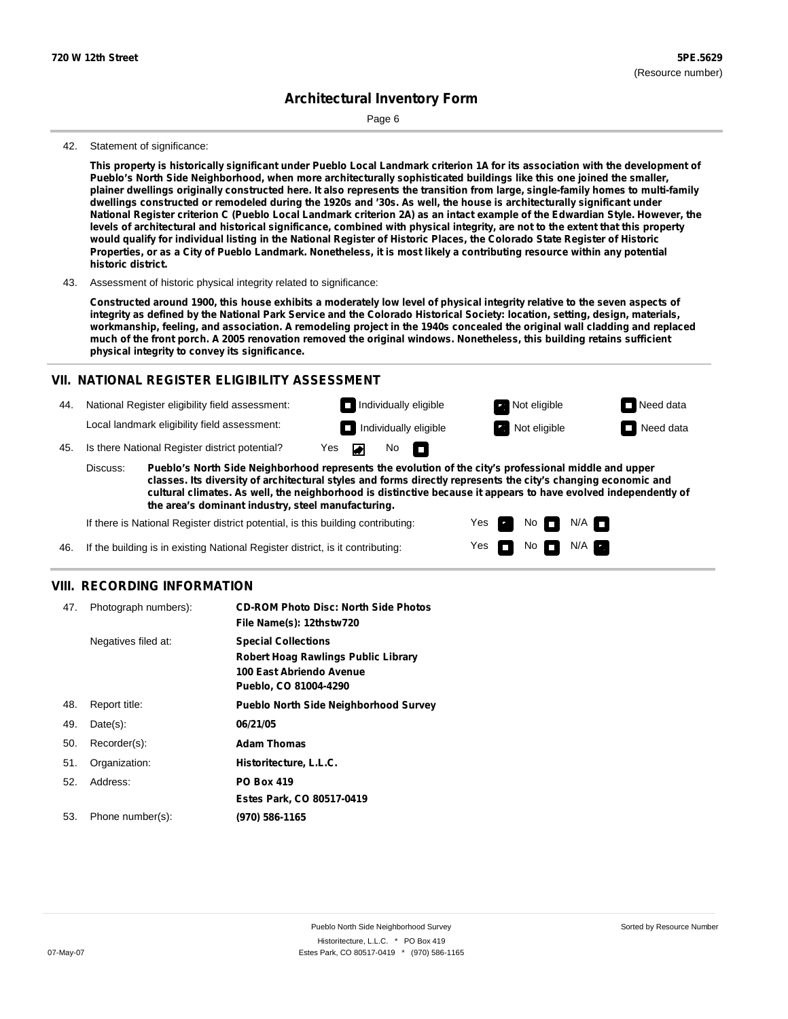Page 6

#### 42. Statement of significance:

This property is historically significant under Pueblo Local Landmark criterion 1A for its association with the development of **Pueblo's North Side Neighborhood, when more architecturally sophisticated buildings like this one joined the smaller,** plainer dwellings originally constructed here. It also represents the transition from large, single-family homes to multi-family dwellings constructed or remodeled during the 1920s and '30s. As well, the house is architecturally significant under National Register criterion C (Pueblo Local Landmark criterion 2A) as an intact example of the Edwardian Style. However, the levels of architectural and historical significance, combined with physical integrity, are not to the extent that this property would qualify for individual listing in the National Register of Historic Places, the Colorado State Register of Historic Properties, or as a City of Pueblo Landmark. Nonetheless, it is most likely a contributing resource within any potential **historic district.**

43. Assessment of historic physical integrity related to significance:

Constructed around 1900, this house exhibits a moderately low level of physical integrity relative to the seven aspects of integrity as defined by the National Park Service and the Colorado Historical Society: location, setting, design, materials, workmanship, feeling, and association. A remodeling project in the 1940s concealed the original wall cladding and replaced much of the front porch. A 2005 renovation removed the original windows. Nonetheless, this building retains sufficient **physical integrity to convey its significance.**

#### **VII. NATIONAL REGISTER ELIGIBILITY ASSESSMENT**

44. National Register eligibility field assessment:

Local landmark eligibility field assessment:

45. Is there National Register district potential? Yes

**Pueblo's North Side Neighborhood represents the evolution of the city's professional middle and upper classes. Its diversity of architectural styles and forms directly represents the city's changing economic and cultural climates. As well, the neighborhood is distinctive because it appears to have evolved independently of the area's dominant industry, steel manufacturing.** Discuss:

◚

No<sub>D</sub>

Yes Yes No

Individually eligible **Not eligible** Not eligible Need data **Individually eligible Not eligible** Not eligible **Need data** 

> $N/A$ N/A

If there is National Register district potential, is this building contributing:

If the building is in existing National Register district, is it contributing: 46.

#### **VIII. RECORDING INFORMATION**

| 47. | Photograph numbers): | <b>CD-ROM Photo Disc: North Side Photos</b>  |
|-----|----------------------|----------------------------------------------|
|     |                      | File Name(s): 12thstw720                     |
|     | Negatives filed at:  | <b>Special Collections</b>                   |
|     |                      | <b>Robert Hoag Rawlings Public Library</b>   |
|     |                      | 100 East Abriendo Avenue                     |
|     |                      | Pueblo, CO 81004-4290                        |
| 48. | Report title:        | <b>Pueblo North Side Neighborhood Survey</b> |
| 49. | $Date(s)$ :          | 06/21/05                                     |
| 50. | Recorder(s):         | <b>Adam Thomas</b>                           |
| 51. | Organization:        | Historitecture, L.L.C.                       |
| 52. | Address:             | <b>PO Box 419</b>                            |
|     |                      | Estes Park, CO 80517-0419                    |
| 53. | Phone number(s):     | (970) 586-1165                               |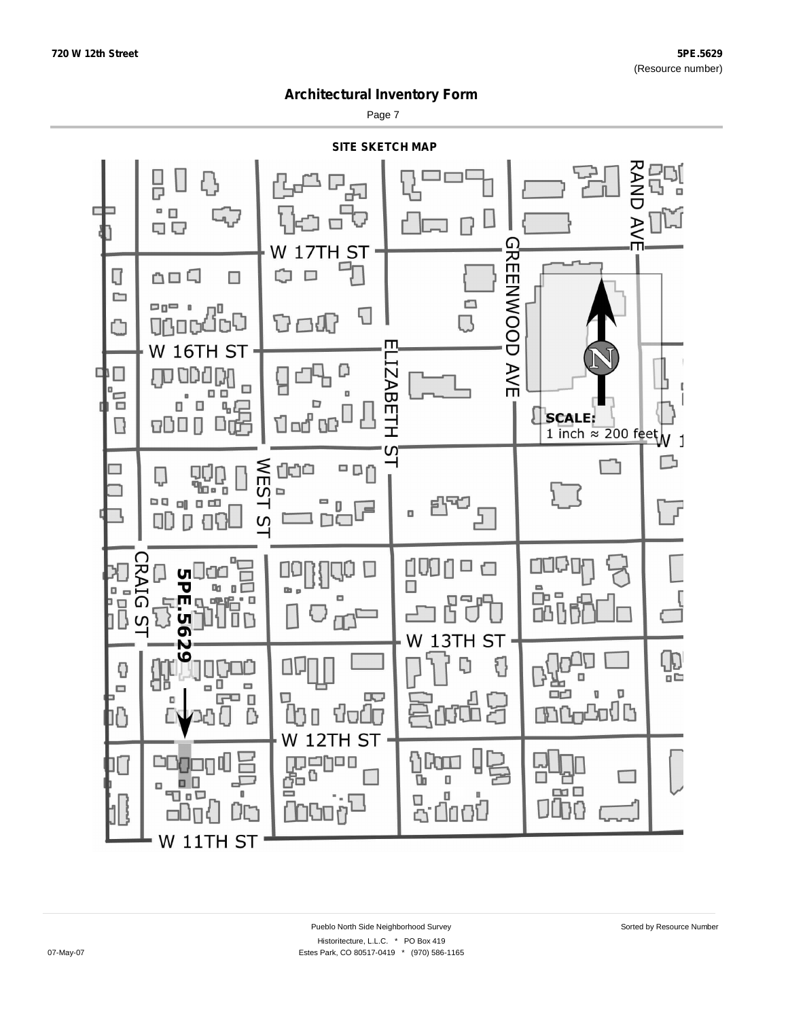Page 7